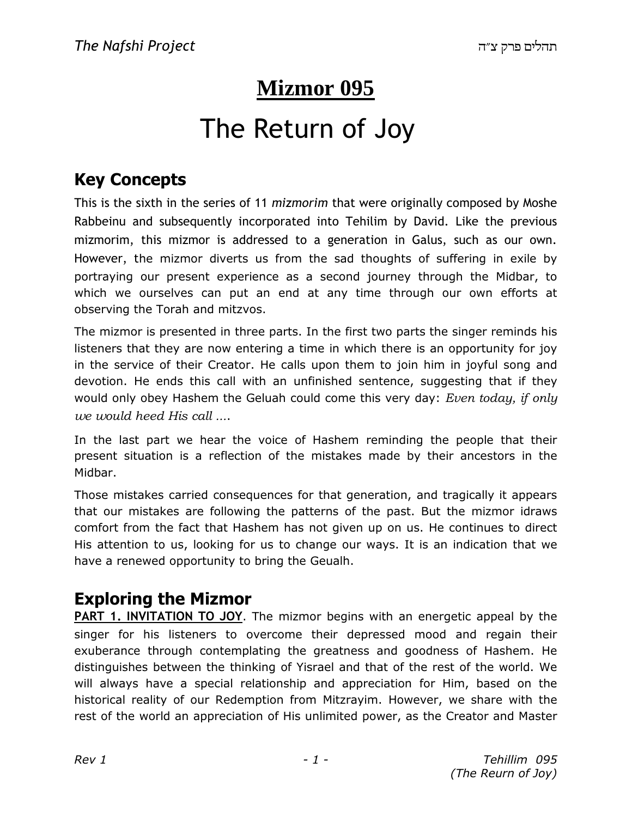# **Mizmor 095**

# The Return of Joy

## **Key Concepts**

This is the sixth in the series of 11 *mizmorim* that were originally composed by Moshe Rabbeinu and subsequently incorporated into Tehilim by David. Like the previous mizmorim, this mizmor is addressed to a generation in Galus, such as our own. However, the mizmor diverts us from the sad thoughts of suffering in exile by portraying our present experience as a second journey through the Midbar, to which we ourselves can put an end at any time through our own efforts at observing the Torah and mitzvos.

The mizmor is presented in three parts. In the first two parts the singer reminds his listeners that they are now entering a time in which there is an opportunity for joy in the service of their Creator. He calls upon them to join him in joyful song and devotion. He ends this call with an unfinished sentence, suggesting that if they would only obey Hashem the Geluah could come this very day: *Even today, if only we would heed His call ...*.

In the last part we hear the voice of Hashem reminding the people that their present situation is a reflection of the mistakes made by their ancestors in the Midbar.

Those mistakes carried consequences for that generation, and tragically it appears that our mistakes are following the patterns of the past. But the mizmor idraws comfort from the fact that Hashem has not given up on us. He continues to direct His attention to us, looking for us to change our ways. It is an indication that we have a renewed opportunity to bring the Geualh.

#### **Exploring the Mizmor**

**PART 1. INVITATION TO JOY**. The mizmor begins with an energetic appeal by the singer for his listeners to overcome their depressed mood and regain their exuberance through contemplating the greatness and goodness of Hashem. He distinguishes between the thinking of Yisrael and that of the rest of the world. We will always have a special relationship and appreciation for Him, based on the historical reality of our Redemption from Mitzrayim. However, we share with the rest of the world an appreciation of His unlimited power, as the Creator and Master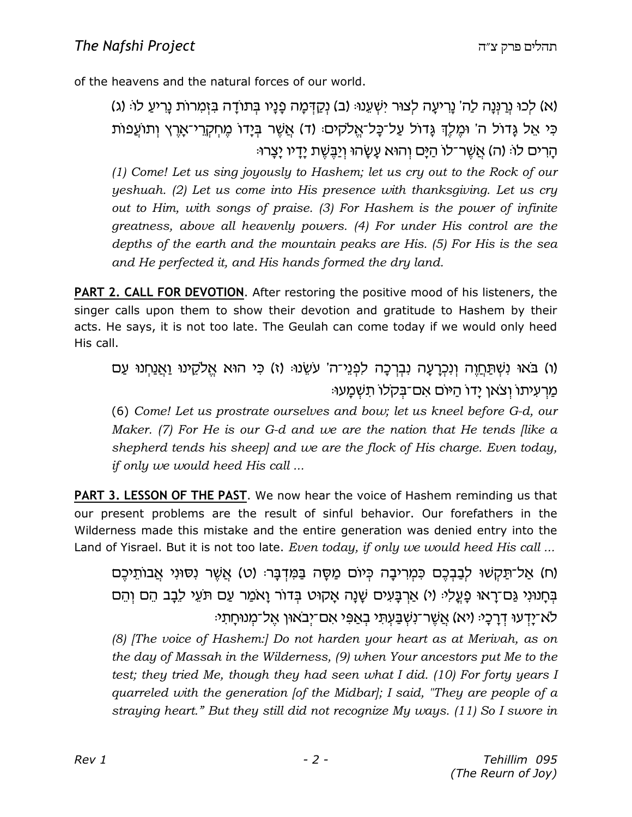of the heavens and the natural forces of our world.

(b) :Ÿel r©ix¦¨p zŸexn¦ f§A¦ dc¨ŸezA§ ei¨pt¨ dn¨C§w©p§ (a) :Epr¥W§ i¦ xEvl§ dr¨ix¦¨p 'd©l d¨pP§x©p§ Ekl§ (`) כִּי אֵל נֶדוֹל ה' וּמֵלֵךְ נֶדוֹל עַל־כָּל־אֱלֹקים: (ד) אֲשֶׁר בְּיָדוֹ מֵחִקְרֵי־אָרֵץ וְתוֹעֲפוֹת הרים לו: (ה) אַשֶׁר־לוֹ הַיֵּם וְהוּא עֵשׂהוּ וְיַבֵּשֶׁת יַדַיו יַצֵרוּ:

*(1) Come! Let us sing joyously to Hashem; let us cry out to the Rock of our yeshuah. (2) Let us come into His presence with thanksgiving. Let us cry out to Him, with songs of praise. (3) For Hashem is the power of infinite greatness, above all heavenly powers. (4) For under His control are the depths of the earth and the mountain peaks are His. (5) For His is the sea and He perfected it, and His hands formed the dry land.*

**PART 2. CALL FOR DEVOTION**. After restoring the positive mood of his listeners, the singer calls upon them to show their devotion and gratitude to Hashem by their acts. He says, it is not too late. The Geulah can come today if we would only heed His call.

ו) בֹּאוּ נְשְׁתַּחֵוֶה וְנְכְרַעֲה נְבְרַכָּה לִפְנֵי־ה' עֹשֶׂנוּ؛ (ז) כִּי הוּא אֱלֹקֱינוּ וַאֲנַחְנוּ עַם : מַרְעִיתוֹ וְצֹאן יַדוֹ הַיּוֹם אֲם־בִקלוֹ תַשָּׁמֲעוּ

(6) *Come! Let us prostrate ourselves and bow; let us kneel before G-d, our Maker. (7) For He is our G-d and we are the nation that He tends [like a shepherd tends his sheep] and we are the flock of His charge. Even today, if only we would heed His call ...*

**PART 3. LESSON OF THE PAST**. We now hear the voice of Hashem reminding us that our present problems are the result of sinful behavior. Our forefathers in the Wilderness made this mistake and the entire generation was denied entry into the Land of Yisrael. But it is not too late. *Even today, if only we would heed His call ...*

ים) אַל־תַּקָשׁוּ לִבַּבְכֶם כְּמִרִיבַה כִּיוֹם מַסֵּה בַּמִּדְבַּר: (ט) אֲשֶׁר וְסוּנִי אֲבוֹתֵיכֶם) בְּחֵנוּנְי גֵּם־רֵאוּ פַעֲלִיּ (י) אַרְבַּעִים שַׁנַה אַקוּט בִּדוֹר וַאמַר עַם תֹּעֵי לֶבַב הֵם וְהֵם לא־יַדְעוּ דְרַכָּי: (יא) אֱשֶׁר־נְשָׁבַּעְתִּי בְאֲפִי אִם־יִבֹאוּן אֱל־מְנוּחַתִי

*(8) [The voice of Hashem:] Do not harden your heart as at Merivah, as on the day of Massah in the Wilderness, (9) when Your ancestors put Me to the test; they tried Me, though they had seen what I did. (10) For forty years I quarreled with the generation [of the Midbar]; I said, "They are people of a straying heart." But they still did not recognize My ways. (11) So I swore in*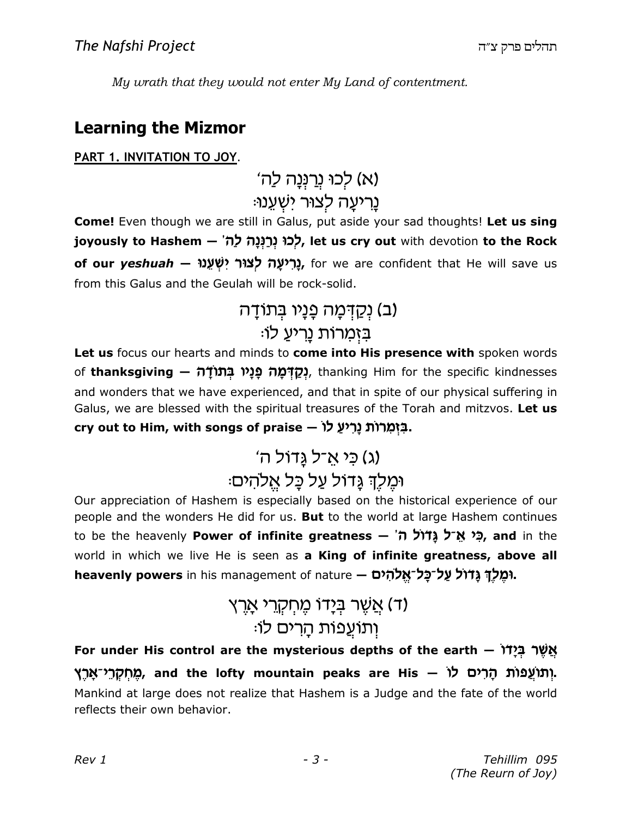My wrath that they would not enter My Land of contentment.

#### **Learning the Mizmor**

#### PART 1. INVITATION TO JOY.

(א) לְכוּ נְרַנְנַה לַה' ּנַרִיעַה לְצוּר יִשְׁעֵנוּ

**Come!** Even though we are still in Galus, put aside your sad thoughts! Let us sing joyously to Hashem – לְכוּ נְרַנְנָה לָה', let us cry out with devotion to the Rock of our yeshuah – נָרִיעָה לְצוֹר יִשְׁעֵנוּ, for we are confident that He will save us from this Galus and the Geulah will be rock-solid.

# (ב) נְקַדְּמָה פָנָיו בִּתוֹדָה ּבַזְמַרוֹת נַרִיעַ לוּ

Let us focus our hearts and minds to come into His presence with spoken words of thanksgiving — נְקֲדָּמָה פָנָיו בְּתוֹדָה (-, thanking Him for the specific kindnesses and wonders that we have experienced, and that in spite of our physical suffering in Galus, we are blessed with the spiritual treasures of the Torah and mitzvos. Let us cry out to Him, with songs of praise – בַּזְמַרוֹת נַרְיעַ לוֹ

# (ג) כֵּי אֲ־ל גֲדוֹל ה'

# וּמֶלֶךְ גַּדוֹל עַל כַּל אֱלהִים:

Our appreciation of Hashem is especially based on the historical experience of our people and the wonders He did for us. But to the world at large Hashem continues to be the heavenly Power of infinite greatness - הֵי אֱ־ל גֲדוֹל הֹ world in which we live He is seen as a King of infinite greatness, above all heavenly powers in his management of nature - ומֵלַךְ גֲדוֹל עַל־כַל־אֲלֹהָים.

# (ד) אֲשֶׁר בְּיָדוֹ מֵחָקְרֵי אֲרֵץ ּוְתוֹעֲפוֹת הַרִים לוֹ

For under His control are the mysterious depths of the earth – אֲשֶׁר בְּיָדוֹ ְמְחִקְרֵי־אָרֵץ), and the lofty mountain peaks are His – מְחִקְרֵי־אָרֵץ. Mankind at large does not realize that Hashem is a Judge and the fate of the world reflects their own behavior.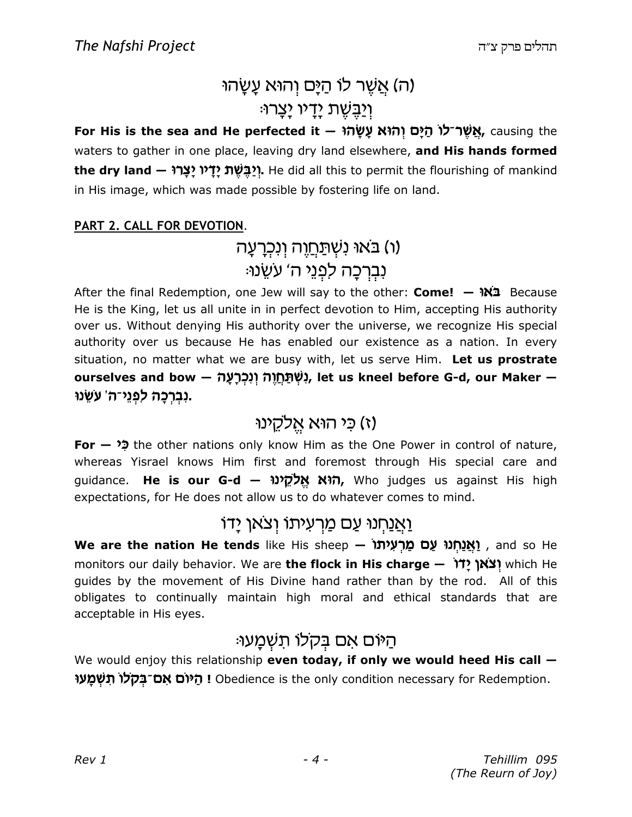# (ה) אֲשֶׁר לוֹ הַיָּם וְהוּא עֲשָׂהוּ <u>וְיַבֵּשֶׁ</u>ת יָדָיו יָצָרוּ:

For His is the sea and He perfected it – אֲשֵׁר־לוֹ הַיָּם וְהוֹא עָשָׂה; causing the waters to gather in one place, leaving dry land elsewhere, and His hands formed the dry land — יִיבֵּשֶׁת יַדָּיו יַצָרוּ. He did all this to permit the flourishing of mankind in His image, which was made possible by fostering life on land.

#### PART 2. CALL FOR DEVOTION.

# (ו) בּאוּ נִשְׁתַּחֲוֶה וְנִכְרָעָה נִבְרְכַה לְפְנֵי ה' עִשֻֽנוּ:

After the final Redemption, one Jew will say to the other: Come!  $\rightarrow$  W2 Because He is the King, let us all unite in in perfect devotion to Him, accepting His authority over us. Without denying His authority over the universe, we recognize His special authority over us because He has enabled our existence as a nation. In every situation, no matter what we are busy with, let us serve Him. Let us prostrate ourselves and bow — נִשְׁתַּחֲוָה וְנִכְרַעֲה, let us kneel before G-d, our Maker — .נִבְרָכָה לִפְנֵי־ה' עֹשֵׂנוּ

## (ז) כי הוא אֱלקֵינוּ

**For**  $\bullet$  the other nations only know Him as the One Power in control of nature, whereas Yisrael knows Him first and foremost through His special care and guidance. He is our G-d – הוא אֱלֹקֱינוּ, Who judges us against His high expectations, for He does not allow us to do whatever comes to mind.

### <u>וַאֲנַחְנוּ עַם מַרְעִיתוֹ וְצאן יַדוֹ</u>

We are the nation He tends like His sheep – וַאֲנַחְנוּ עַם מַרְעִיתוֹ , and so He monitors our daily behavior. We are the flock in His charge - וֹאוֹ which He quides by the movement of His Divine hand rather than by the rod. All of this obligates to continually maintain high moral and ethical standards that are acceptable in His eyes.

# היום אם בקלו תשמעו:

We would enjoy this relationship even today, if only we would heed His call  $-$ ו היום אם־בקלו תשמעו Obedience is the only condition necessary for Redemption.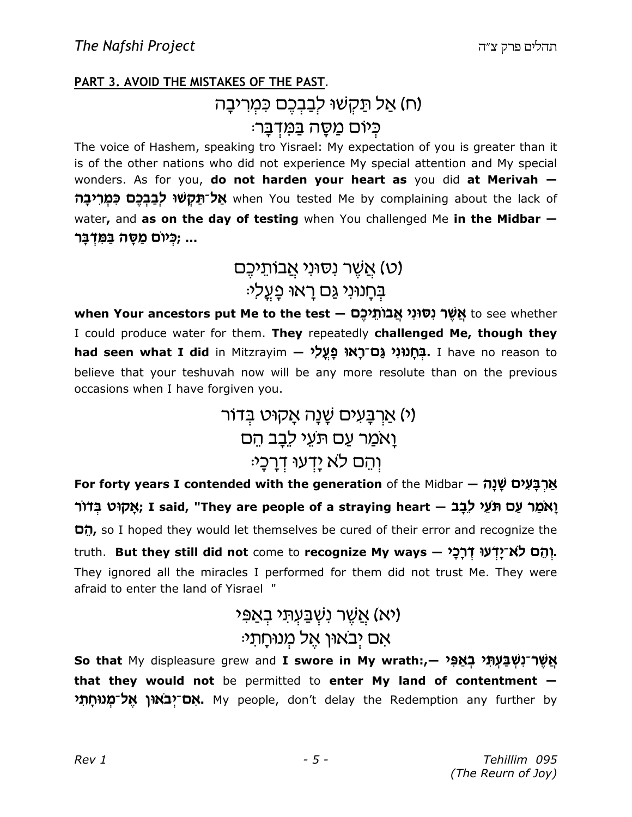#### **PART 3. AVOID THE MISTAKES OF THE PAST.**

## (ח) אַל תַּקְשׁוּ לִבְבְכֵם כִּמְרִיבָה כִּיוֹם מַסָּה בַּמִּדְבָּר:

The voice of Hashem, speaking tro Yisrael: My expectation of you is greater than it is of the other nations who did not experience My special attention and My special wonders. As for you, do not harden your heart as you did at Merivah when You tested Me by complaining about the lack of אֱל־תַּקְשׁוּ לִבְבַכֶם כָּמְרִיבַה water, and as on the day of testing when You challenged Me in the Midbar -... ;כִּיוֹם מַסֵּה בַּמִּדְבַּר

> (ט) אֲשֶׁר נִסוּנִי אֲבוֹתֵיכֵם ּבִּחָנוּנִי גַּם רָאוּ פָּעֲליּ

when Your ancestors put Me to the test — אֲשֶׁר נְסוּנִי אֲבוֹתֵיכֶם when Your ancestors put Me to the test I could produce water for them. They repeatedly challenged Me, though they had seen what I did in Mitzrayim - בְּחֲנוּנְי גֲם־רָאוּ פַּעֲלִי I have no reason to believe that your teshuvah now will be any more resolute than on the previous occasions when I have forgiven you.

> (י) אַרְבַּעִים שָׁנָה אָקוּט בְּדוֹר וַאמַר עַם תּעֵי לֶבַב הֵם ּוְהֵם לֹא יַדְעוּ דְרַכָּי

For forty years I contended with the generation of the Midbar - אֲרְבָּעִים שָׁנָה ּיָאָקוּט בְּדוֹר ; I said, "They are people of a straying heart – אֲמַר עֲם תּעֵי לֵבָב הָם, so I hoped they would let themselves be cured of their error and recognize the truth. But they still did not come to recognize My ways - יְהֵם לֹא־יָדְעוּ דְרָכָי They ignored all the miracles I performed for them did not trust Me. They were afraid to enter the land of Yisrael "

# יא) אַשָׁר נשַׁבַּעָתִּי בָאַפּי) ּאם יִבאון אֵל מִנוּחַתי

So that My displeasure grew and I swore in My wrath:,— אֲשֶׁר־נְשְׁבַּעְתָּי בְאֲפִי that they would not be permitted to enter My land of contentment -אָם־יִבאוּן אֱל־מְנוּחֶתִי. My people, don't delay the Redemption any further by